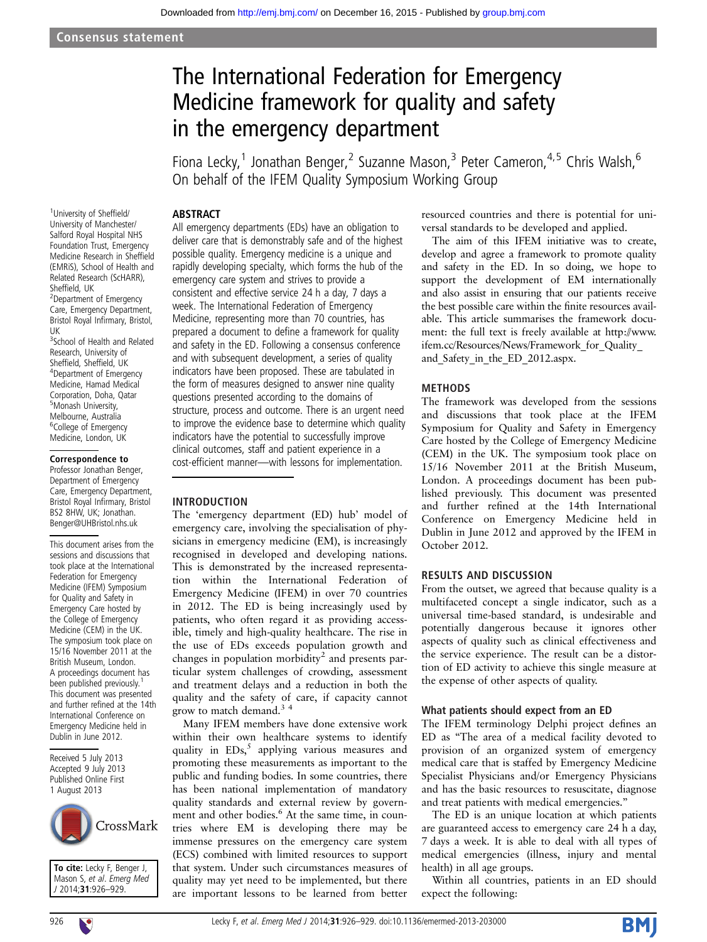# The International Federation for Emergency Medicine framework for quality and safety in the emergency department

Fiona Lecky,<sup>1</sup> Jonathan Benger,<sup>2</sup> Suzanne Mason,<sup>3</sup> Peter Cameron,<sup>4,5</sup> Chris Walsh,<sup>6</sup> On behalf of the IFEM Quality Symposium Working Group

# **ABSTRACT**

<sup>1</sup>University of Sheffield/ University of Manchester/ Salford Royal Hospital NHS Foundation Trust, Emergency Medicine Research in Sheffield (EMRiS), School of Health and Related Research (ScHARR), Sheffield, UK <sup>2</sup> <sup>2</sup>Department of Emergency Care, Emergency Department, Bristol Royal Infirmary, Bristol, UK

<sup>3</sup>School of Health and Related Research, University of Sheffield, Sheffield, UK <sup>4</sup> Department of Emergency Medicine, Hamad Medical Corporation, Doha, Qatar 5 Monash University, Melbourne, Australia 6 College of Emergency Medicine, London, UK

#### Correspondence to

Professor Jonathan Benger, Department of Emergency Care, Emergency Department, Bristol Royal Infirmary, Bristol BS2 8HW, UK; Jonathan. Benger@UHBristol.nhs.uk

This document arises from the sessions and discussions that took place at the International Federation for Emergency Medicine (IFEM) Symposium for Quality and Safety in Emergency Care hosted by the College of Emergency Medicine (CEM) in the UK. The symposium took place on 15/16 November 2011 at the British Museum, London. A proceedings document has been published previously.<sup>1</sup> This document was presented and further refined at the 14th International Conference on Emergency Medicine held in Dublin in June 2012.

Received 5 July 2013 Accepted 9 July 2013 Published Online First 1 August 2013



Mason S, et al. Emerg Med J 2014;31:926–929.

All emergency departments (EDs) have an obligation to deliver care that is demonstrably safe and of the highest possible quality. Emergency medicine is a unique and rapidly developing specialty, which forms the hub of the emergency care system and strives to provide a consistent and effective service 24 h a day, 7 days a week. The International Federation of Emergency Medicine, representing more than 70 countries, has prepared a document to define a framework for quality and safety in the ED. Following a consensus conference and with subsequent development, a series of quality indicators have been proposed. These are tabulated in the form of measures designed to answer nine quality questions presented according to the domains of structure, process and outcome. There is an urgent need to improve the evidence base to determine which quality indicators have the potential to successfully improve clinical outcomes, staff and patient experience in a cost-efficient manner—with lessons for implementation.

#### INTRODUCTION

The 'emergency department (ED) hub' model of emergency care, involving the specialisation of physicians in emergency medicine (EM), is increasingly recognised in developed and developing nations. This is demonstrated by the increased representation within the International Federation of Emergency Medicine (IFEM) in over 70 countries in 2012. The ED is being increasingly used by patients, who often regard it as providing accessible, timely and high-quality healthcare. The rise in the use of EDs exceeds population growth and changes in population morbidity<sup>2</sup> and presents particular system challenges of crowding, assessment and treatment delays and a reduction in both the quality and the safety of care, if capacity cannot grow to match demand.<sup>3</sup><sup>4</sup>

Many IFEM members have done extensive work within their own healthcare systems to identify quality in  $EDs$ , applying various measures and promoting these measurements as important to the public and funding bodies. In some countries, there has been national implementation of mandatory quality standards and external review by government and other bodies.<sup>6</sup> At the same time, in countries where EM is developing there may be immense pressures on the emergency care system (ECS) combined with limited resources to support that system. Under such circumstances measures of quality may yet need to be implemented, but there are important lessons to be learned from better

resourced countries and there is potential for universal standards to be developed and applied.

The aim of this IFEM initiative was to create, develop and agree a framework to promote quality and safety in the ED. In so doing, we hope to support the development of EM internationally and also assist in ensuring that our patients receive the best possible care within the finite resources available. This article summarises the framework document: the full text is freely available at [http://www.](http://www.ifem.cc/Resources/News/Framework_for_Quality_and_Safety_in_the_ED_2012.aspx) [ifem.cc/Resources/News/Framework\\_for\\_Quality\\_](http://www.ifem.cc/Resources/News/Framework_for_Quality_and_Safety_in_the_ED_2012.aspx) and Safety in the ED 2012.aspx.

#### METHODS

The framework was developed from the sessions and discussions that took place at the IFEM Symposium for Quality and Safety in Emergency Care hosted by the College of Emergency Medicine (CEM) in the UK. The symposium took place on 15/16 November 2011 at the British Museum, London. A proceedings document has been published previously. This document was presented and further refined at the 14th International Conference on Emergency Medicine held in Dublin in June 2012 and approved by the IFEM in October 2012.

# RESULTS AND DISCUSSION

From the outset, we agreed that because quality is a multifaceted concept a single indicator, such as a universal time-based standard, is undesirable and potentially dangerous because it ignores other aspects of quality such as clinical effectiveness and the service experience. The result can be a distortion of ED activity to achieve this single measure at the expense of other aspects of quality.

#### What patients should expect from an ED

The IFEM terminology Delphi project defines an ED as "The area of a medical facility devoted to provision of an organized system of emergency medical care that is staffed by Emergency Medicine Specialist Physicians and/or Emergency Physicians and has the basic resources to resuscitate, diagnose and treat patients with medical emergencies."

The ED is an unique location at which patients are guaranteed access to emergency care 24 h a day, 7 days a week. It is able to deal with all types of medical emergencies (illness, injury and mental health) in all age groups.

Within all countries, patients in an ED should expect the following:

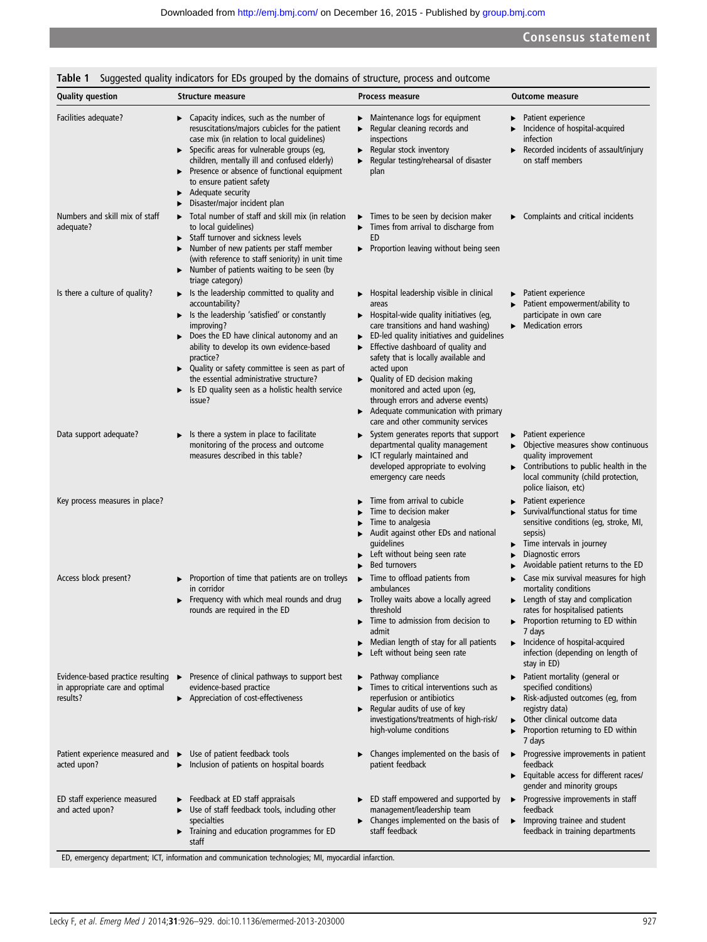| <b>Quality question</b>                                                          | Structure measure                                                                                                                                                                                                                                                                                                                                                                                          | <b>Process measure</b>                                                                                                                                                                                                                                                                                                                                                                                                                                                                                                | <b>Outcome measure</b>                                                                                                                                                                                                                                                 |
|----------------------------------------------------------------------------------|------------------------------------------------------------------------------------------------------------------------------------------------------------------------------------------------------------------------------------------------------------------------------------------------------------------------------------------------------------------------------------------------------------|-----------------------------------------------------------------------------------------------------------------------------------------------------------------------------------------------------------------------------------------------------------------------------------------------------------------------------------------------------------------------------------------------------------------------------------------------------------------------------------------------------------------------|------------------------------------------------------------------------------------------------------------------------------------------------------------------------------------------------------------------------------------------------------------------------|
| Facilities adequate?                                                             | Capacity indices, such as the number of<br>▶<br>resuscitations/majors cubicles for the patient<br>case mix (in relation to local guidelines)<br>Specific areas for vulnerable groups (eg,<br>▶<br>children, mentally ill and confused elderly)<br>Presence or absence of functional equipment<br>▶<br>to ensure patient safety<br>Adequate security<br>▶<br>Disaster/major incident plan<br>▶              | Maintenance logs for equipment<br>Regular cleaning records and<br>inspections<br>Regular stock inventory<br>▶<br>Regular testing/rehearsal of disaster<br>▶<br>plan                                                                                                                                                                                                                                                                                                                                                   | ▶ Patient experience<br>Incidence of hospital-acquired<br>infection<br>Recorded incidents of assault/injury<br>▶<br>on staff members                                                                                                                                   |
| Numbers and skill mix of staff<br>adequate?                                      | Total number of staff and skill mix (in relation<br>▶<br>to local quidelines)<br>Staff turnover and sickness levels<br>▶<br>Number of new patients per staff member<br>▶<br>(with reference to staff seniority) in unit time<br>Number of patients waiting to be seen (by<br>▶<br>triage category)                                                                                                         | Times to be seen by decision maker<br>Times from arrival to discharge from<br>▶<br>ED<br>$\blacktriangleright$ Proportion leaving without being seen                                                                                                                                                                                                                                                                                                                                                                  | $\triangleright$ Complaints and critical incidents                                                                                                                                                                                                                     |
| Is there a culture of quality?                                                   | Is the leadership committed to quality and<br>accountability?<br>Is the leadership 'satisfied' or constantly<br>▶<br>improving?<br>Does the ED have clinical autonomy and an<br>ability to develop its own evidence-based<br>practice?<br>Quality or safety committee is seen as part of<br>▶<br>the essential administrative structure?<br>Is ED quality seen as a holistic health service<br>▶<br>issue? | Hospital leadership visible in clinical<br>areas<br>$\blacktriangleright$ Hospital-wide quality initiatives (eg,<br>care transitions and hand washing)<br>ED-led quality initiatives and guidelines<br>▶<br>Effective dashboard of quality and<br>▶<br>safety that is locally available and<br>acted upon<br>▶ Quality of ED decision making<br>monitored and acted upon (eq,<br>through errors and adverse events)<br>$\blacktriangleright$ Adequate communication with primary<br>care and other community services | Patient experience<br>Patient empowerment/ability to<br>▶<br>participate in own care<br>$\blacktriangleright$ Medication errors                                                                                                                                        |
| Data support adequate?                                                           | Is there a system in place to facilitate<br>monitoring of the process and outcome<br>measures described in this table?                                                                                                                                                                                                                                                                                     | $\triangleright$ System generates reports that support<br>departmental quality management<br>► ICT regularly maintained and<br>developed appropriate to evolving<br>emergency care needs                                                                                                                                                                                                                                                                                                                              | Patient experience<br>▶<br>$\triangleright$ Objective measures show continuous<br>quality improvement<br>$\triangleright$ Contributions to public health in the<br>local community (child protection,<br>police liaison, etc)                                          |
| Key process measures in place?                                                   |                                                                                                                                                                                                                                                                                                                                                                                                            | Time from arrival to cubicle<br>Time to decision maker<br>Time to analgesia<br>Audit against other EDs and national<br>quidelines<br>Left without being seen rate<br>Bed turnovers                                                                                                                                                                                                                                                                                                                                    | Patient experience<br>Survival/functional status for time<br>sensitive conditions (eg, stroke, MI,<br>sepsis)<br>$\blacktriangleright$ Time intervals in journey<br>Diagnostic errors<br>Avoidable patient returns to the ED                                           |
| Access block present?                                                            | Proportion of time that patients are on trolleys<br>in corridor<br>Frequency with which meal rounds and drug<br>rounds are required in the ED                                                                                                                                                                                                                                                              | Time to offload patients from<br>$\blacktriangleright$<br>ambulances<br>Trolley waits above a locally agreed<br>threshold<br>Time to admission from decision to<br>admit<br>Median length of stay for all patients<br>Left without being seen rate<br>▶                                                                                                                                                                                                                                                               | Case mix survival measures for high<br>mortality conditions<br>Length of stay and complication<br>rates for hospitalised patients<br>Proportion returning to ED within<br>7 days<br>Incidence of hospital-acquired<br>infection (depending on length of<br>stay in ED) |
| Evidence-based practice resulting<br>in appropriate care and optimal<br>results? | Presence of clinical pathways to support best<br>evidence-based practice<br>Appreciation of cost-effectiveness                                                                                                                                                                                                                                                                                             | Pathway compliance<br>Times to critical interventions such as<br>reperfusion or antibiotics<br>$\triangleright$ Regular audits of use of key<br>investigations/treatments of high-risk/<br>high-volume conditions                                                                                                                                                                                                                                                                                                     | Patient mortality (general or<br>specified conditions)<br>$\triangleright$ Risk-adjusted outcomes (eg, from<br>registry data)<br>Other clinical outcome data<br>Proportion returning to ED within<br>▶<br>7 days                                                       |
| Patient experience measured and<br>acted upon?                                   | Use of patient feedback tools<br>$\blacktriangleright$<br>Inclusion of patients on hospital boards<br>▶                                                                                                                                                                                                                                                                                                    | Changes implemented on the basis of<br>patient feedback                                                                                                                                                                                                                                                                                                                                                                                                                                                               | Progressive improvements in patient<br>▶<br>feedback<br>Equitable access for different races/<br>▶<br>gender and minority groups                                                                                                                                       |
| ED staff experience measured<br>and acted upon?                                  | Feedback at ED staff appraisals<br>Use of staff feedback tools, including other<br>▶<br>specialties<br>Training and education programmes for ED<br>staff                                                                                                                                                                                                                                                   | ED staff empowered and supported by<br>management/leadership team<br>Changes implemented on the basis of<br>staff feedback                                                                                                                                                                                                                                                                                                                                                                                            | Progressive improvements in staff<br>▶<br>feedback<br>Improving trainee and student<br>▶<br>feedback in training departments                                                                                                                                           |

Table 1 Suggested quality indicators for EDs grouped by the domains of structure, process and outcome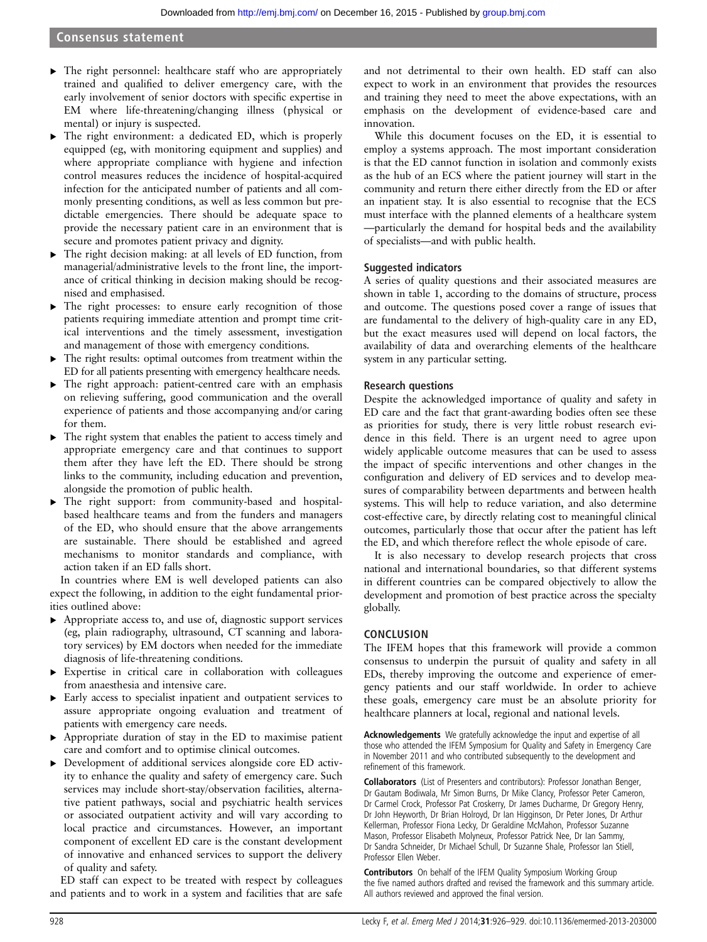## Consensus statement

- ▸ The right personnel: healthcare staff who are appropriately trained and qualified to deliver emergency care, with the early involvement of senior doctors with specific expertise in EM where life-threatening/changing illness (physical or mental) or injury is suspected.
- ▸ The right environment: a dedicated ED, which is properly equipped (eg, with monitoring equipment and supplies) and where appropriate compliance with hygiene and infection control measures reduces the incidence of hospital-acquired infection for the anticipated number of patients and all commonly presenting conditions, as well as less common but predictable emergencies. There should be adequate space to provide the necessary patient care in an environment that is secure and promotes patient privacy and dignity.
- ▸ The right decision making: at all levels of ED function, from managerial/administrative levels to the front line, the importance of critical thinking in decision making should be recognised and emphasised.
- ▸ The right processes: to ensure early recognition of those patients requiring immediate attention and prompt time critical interventions and the timely assessment, investigation and management of those with emergency conditions.
- ▸ The right results: optimal outcomes from treatment within the ED for all patients presenting with emergency healthcare needs.
- ▸ The right approach: patient-centred care with an emphasis on relieving suffering, good communication and the overall experience of patients and those accompanying and/or caring for them.
- ▸ The right system that enables the patient to access timely and appropriate emergency care and that continues to support them after they have left the ED. There should be strong links to the community, including education and prevention, alongside the promotion of public health.
- ▸ The right support: from community-based and hospitalbased healthcare teams and from the funders and managers of the ED, who should ensure that the above arrangements are sustainable. There should be established and agreed mechanisms to monitor standards and compliance, with action taken if an ED falls short.

In countries where EM is well developed patients can also expect the following, in addition to the eight fundamental priorities outlined above:

- ▸ Appropriate access to, and use of, diagnostic support services (eg, plain radiography, ultrasound, CT scanning and laboratory services) by EM doctors when needed for the immediate diagnosis of life-threatening conditions.
- ▸ Expertise in critical care in collaboration with colleagues from anaesthesia and intensive care.
- ▸ Early access to specialist inpatient and outpatient services to assure appropriate ongoing evaluation and treatment of patients with emergency care needs.
- ▸ Appropriate duration of stay in the ED to maximise patient care and comfort and to optimise clinical outcomes.
- ▸ Development of additional services alongside core ED activity to enhance the quality and safety of emergency care. Such services may include short-stay/observation facilities, alternative patient pathways, social and psychiatric health services or associated outpatient activity and will vary according to local practice and circumstances. However, an important component of excellent ED care is the constant development of innovative and enhanced services to support the delivery of quality and safety.

ED staff can expect to be treated with respect by colleagues and patients and to work in a system and facilities that are safe

and not detrimental to their own health. ED staff can also expect to work in an environment that provides the resources and training they need to meet the above expectations, with an emphasis on the development of evidence-based care and innovation.

While this document focuses on the ED, it is essential to employ a systems approach. The most important consideration is that the ED cannot function in isolation and commonly exists as the hub of an ECS where the patient journey will start in the community and return there either directly from the ED or after an inpatient stay. It is also essential to recognise that the ECS must interface with the planned elements of a healthcare system —particularly the demand for hospital beds and the availability of specialists—and with public health.

## Suggested indicators

A series of quality questions and their associated measures are shown in table 1, according to the domains of structure, process and outcome. The questions posed cover a range of issues that are fundamental to the delivery of high-quality care in any ED, but the exact measures used will depend on local factors, the availability of data and overarching elements of the healthcare system in any particular setting.

## Research questions

Despite the acknowledged importance of quality and safety in ED care and the fact that grant-awarding bodies often see these as priorities for study, there is very little robust research evidence in this field. There is an urgent need to agree upon widely applicable outcome measures that can be used to assess the impact of specific interventions and other changes in the configuration and delivery of ED services and to develop measures of comparability between departments and between health systems. This will help to reduce variation, and also determine cost-effective care, by directly relating cost to meaningful clinical outcomes, particularly those that occur after the patient has left the ED, and which therefore reflect the whole episode of care.

It is also necessary to develop research projects that cross national and international boundaries, so that different systems in different countries can be compared objectively to allow the development and promotion of best practice across the specialty globally.

# **CONCLUSION**

The IFEM hopes that this framework will provide a common consensus to underpin the pursuit of quality and safety in all EDs, thereby improving the outcome and experience of emergency patients and our staff worldwide. In order to achieve these goals, emergency care must be an absolute priority for healthcare planners at local, regional and national levels.

Acknowledgements We gratefully acknowledge the input and expertise of all those who attended the IFEM Symposium for Quality and Safety in Emergency Care in November 2011 and who contributed subsequently to the development and refinement of this framework.

Collaborators (List of Presenters and contributors): Professor Jonathan Benger, Dr Gautam Bodiwala, Mr Simon Burns, Dr Mike Clancy, Professor Peter Cameron, Dr Carmel Crock, Professor Pat Croskerry, Dr James Ducharme, Dr Gregory Henry, Dr John Heyworth, Dr Brian Holroyd, Dr Ian Higginson, Dr Peter Jones, Dr Arthur Kellerman, Professor Fiona Lecky, Dr Geraldine McMahon, Professor Suzanne Mason, Professor Elisabeth Molyneux, Professor Patrick Nee, Dr Ian Sammy, Dr Sandra Schneider, Dr Michael Schull, Dr Suzanne Shale, Professor Ian Stiell, Professor Ellen Weber.

Contributors On behalf of the IFEM Quality Symposium Working Group the five named authors drafted and revised the framework and this summary article. All authors reviewed and approved the final version.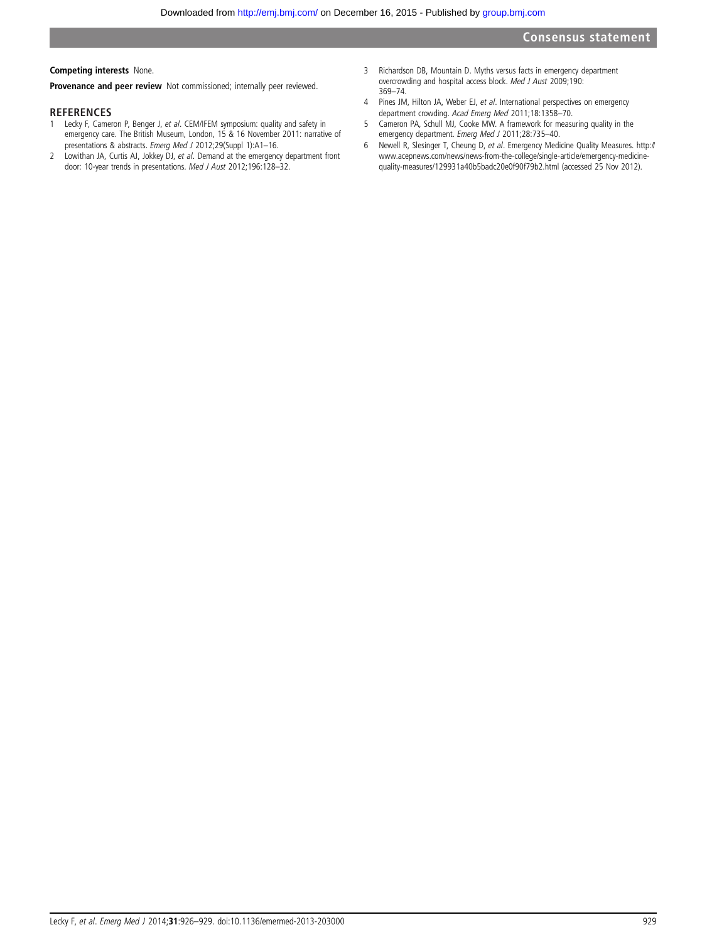#### Competing interests None.

Provenance and peer review Not commissioned; internally peer reviewed.

## **REFERENCES**

- 1 Lecky F, Cameron P, Benger J, et al. CEM/IFEM symposium: quality and safety in emergency care. The British Museum, London, 15 & 16 November 2011: narrative of presentations & abstracts. Emerg Med J 2012;29(Suppl 1):A1–16.
- 2 Lowithan JA, Curtis AJ, Jokkey DJ, et al. Demand at the emergency department front door: 10-year trends in presentations. Med J Aust 2012;196:128–32.
- 3 Richardson DB, Mountain D. Myths versus facts in emergency department overcrowding and hospital access block. Med J Aust 2009;190: 369–74.
- 4 Pines JM, Hilton JA, Weber EJ, et al. International perspectives on emergency department crowding. Acad Emerg Med 2011;18:1358–70.
- 5 Cameron PA, Schull MJ, Cooke MW. A framework for measuring quality in the emergency department. Emerg Med J 2011;28:735-40.
- 6 Newell R, Slesinger T, Cheung D, et al. Emergency Medicine Quality Measures. [http://](http://www.acepnews.com/news/news-from-the-college/single-article/emergency-medicine-quality-measures/129931a40b5badc20e0f90f79b2.html) [www.acepnews.com/news/news-from-the-college/single-article/emergency-medicine](http://www.acepnews.com/news/news-from-the-college/single-article/emergency-medicine-quality-measures/129931a40b5badc20e0f90f79b2.html)[quality-measures/129931a40b5badc20e0f90f79b2.html](http://www.acepnews.com/news/news-from-the-college/single-article/emergency-medicine-quality-measures/129931a40b5badc20e0f90f79b2.html) (accessed 25 Nov 2012).